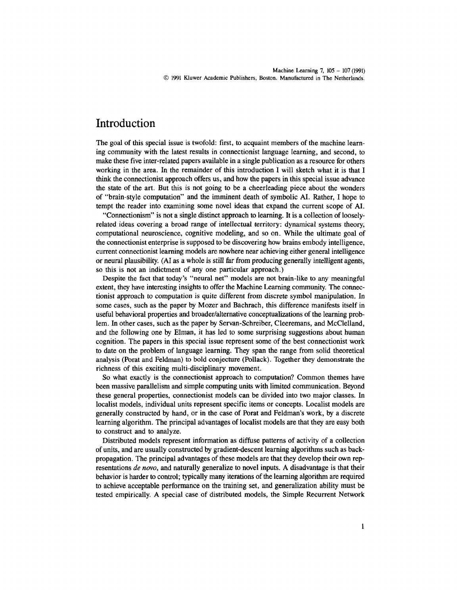## Introduction

The goal of this special issue is twofold: first, to acquaint members of the machine learning community with the latest results in connectionist language learning, and second, to make these five inter-related papers available in a single publication as a resource for others working in the area. In the remainder of this introduction I will sketch what it is that I think the connectionist approach offers us, and how the papers in this special issue advance the state of the art. But this is not going to be a cheerleading piece about the wonders of "brain-style computation" and the imminent death of symbolic AI. Rather, I hope to tempt the reader into examining some novel ideas that expand the current scope of AI.

"Connectionism" is not a single distinct approach to learning. It is a collection of looselyrelated ideas covering a broad range of intellectual territory: dynamical systems theory, computational neuroscience, cognitive modeling, and so on. While the ultimate goal of the connectionist enterprise is supposed to be discovering how brains embody intelligence, current connectionist learning models are nowhere near achieving either general intelligence or neural plausibility. (AI as a whole is still far from producing generally intelligent agents, so this is not an indictment of any one particular approach.)

Despite the fact that today's "neural net" models are not brain-like to any meaningful extent, they have interesting insights to offer the Machine Learning community. The connectionist approach to computation is quite different from discrete symbol manipulation. In some cases, such as the paper by Mozer and Bachrach, this difference manifests itself in useful behavioral properties and broader/alternative conceptualizations of the learning problem. In other cases, such as the paper by Servan-Schreiber, Cleeremans, and McClelland, and the following one by Elman, it has led to some surprising suggestions about human cognition. The papers in this special issue represent some of the best connectionist work to date on the problem of language learning. They span the range from solid theoretical analysis (Porat and Feldman) to bold conjecture (Pollack). Together they demonstrate the richness of this exciting multi-disciplinary movement.

So what exactly is the connectionist approach to computation? Common themes have been massive parallelism and simple computing units with limited communication. Beyond these general properties, connectionist models can be divided into two major classes. In localist models, individual units represent specific items or concepts. Localist models are generally constructed by hand, or in the case of Porat and Feldman's work, by a discrete learning algorithm. The principal advantages of localist models are that they are easy both to construct and to analyze.

Distributed models represent information as diffuse patterns of activity of a collection of units, and are usually constructed by gradient-descent learning algorithms such as backpropagation. The principal advantages of these models are that they develop their own representations *de novo,* and naturally generalize to novel inputs. A disadvantage is that their behavior is harder to control; typically many iterations of the learning algorithm are required to achieve acceptable performance on the training set, and generalization ability must be tested empirically. A special case of distributed models, the Simple Recurrent Network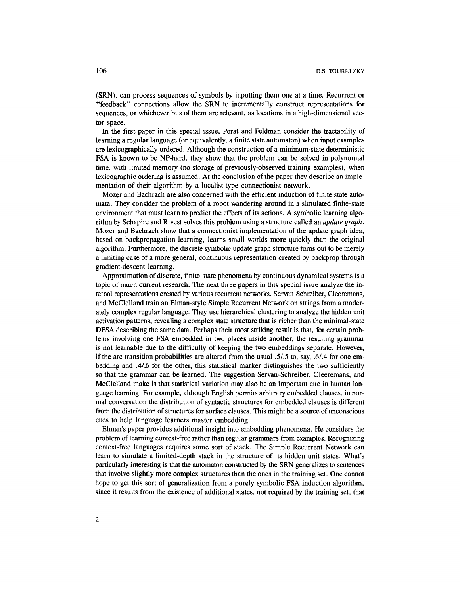(SRN), can process sequences of symbols by inputting them one at a time. Recurrent or "feedback" connections allow the SRN to incrementally construct representations for sequences, or whichever bits of them are relevant, as locations in a high-dimensional vector space.

In the first paper in this special issue, Porat and Feldman consider the tractability of learning a regular language (or equivalently, a finite state automaton) when input examples are lexicographically ordered. Although the construction of a minimum-state deterministic FSA is known to be NP-hard, they show that the problem can be solved in polynomial time, with limited memory (no storage of previously-observed training examples), when lexicographic ordering is assumed. At the conclusion of the paper they describe an implementation of their algorithm by a localist-type connectionist network.

Mozer and Bachrach are also concerned with the efficient induction of finite state automata. They consider the problem of a robot wandering around in a simulated finite-state environment that must learn to predict the effects of its actions. A symbolic learning algorithm by Schapire and Rivest solves this problem using a structure called an *update graph.* Mozer and Bachrach show that a connectionist implementation of the update graph idea, based on backpropagation learning, learns small worlds more quickly than the original algorithm. Furthermore, the discrete symbolic update graph structure turns out to be merely a limiting case of a more general, continuous representation created by backprop through gradient-descent learning.

Approximation of discrete, finite-state phenomena by continuous dynamical systems is a topic of much current research. The next three papers in this special issue analyze the internal representations created by various recurrent networks. Servan-Schreiber, Cleeremans, and McClelland train an Elman-style Simple Recurrent Network on strings from a moderately complex regular language. They use hierarchical clustering to analyze the hidden unit activation patterns, revealing a complex state structure that is richer than the minimal-state DFSA describing the same data. Perhaps their most striking result is that, for certain problems involving one FSA embedded in two places inside another, the resulting grammar is not learnable due to the difficulty of keeping the two embeddings separate. However, if the arc transition probabilities are altered from the usual .5/.5 to, say, *.6/.4* for one embedding and .4/.6 for the other, this statistical marker distinguishes the two sufficiently so that the grammar can be learned. The suggestion Servan-Schreiber, Cleeremans, and McClelland make is that statistical variation may also be an important cue in human language learning. For example, although English permits arbitrary embedded clauses, in normal conversation the distribution of syntactic structures for embedded clauses is different from the distribution of structures for surface clauses. This might be a source of unconscious cues to help language learners master embedding.

Elman's paper provides additional insight into embedding phenomena. He considers the problem of learning context-free rather than regular grammars from examples. Recognizing context-free languages requires some sort of stack. The Simple Recurrent Network can learn to simulate a limited-depth stack in the structure of its hidden unit states. What's particularly interesting is that the automaton constructed by the SRN generalizes to sentences that involve slightly more complex structures than the ones in the training set. One cannot hope to get this sort of generalization from a purely symbolic FSA induction algorithm, since it results from the existence of additional states, not required by the training set, that